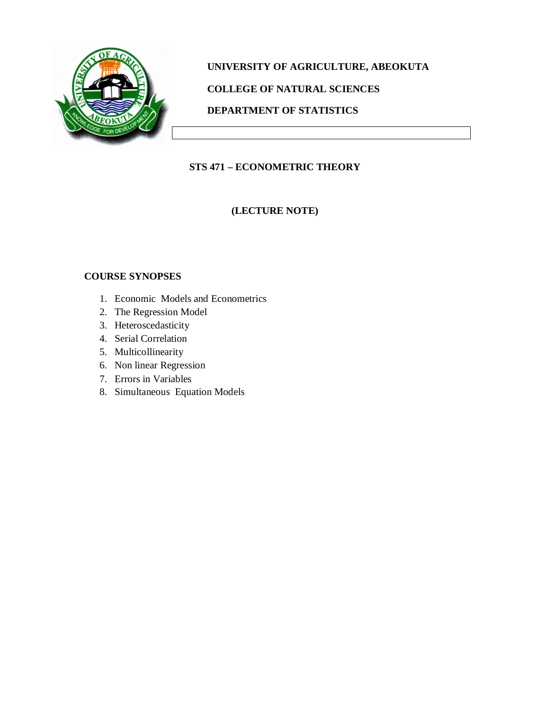

# **UNIVERSITY OF AGRICULTURE, ABEOKUTA COLLEGE OF NATURAL SCIENCES DEPARTMENT OF STATISTICS**

## **STS 471 – ECONOMETRIC THEORY**

**(LECTURE NOTE)**

## **COURSE SYNOPSES**

- 1. Economic Models and Econometrics
- 2. The Regression Model
- 3. Heteroscedasticity
- 4. Serial Correlation
- 5. Multicollinearity
- 6. Non linear Regression
- 7. Errors in Variables
- 8. Simultaneous Equation Models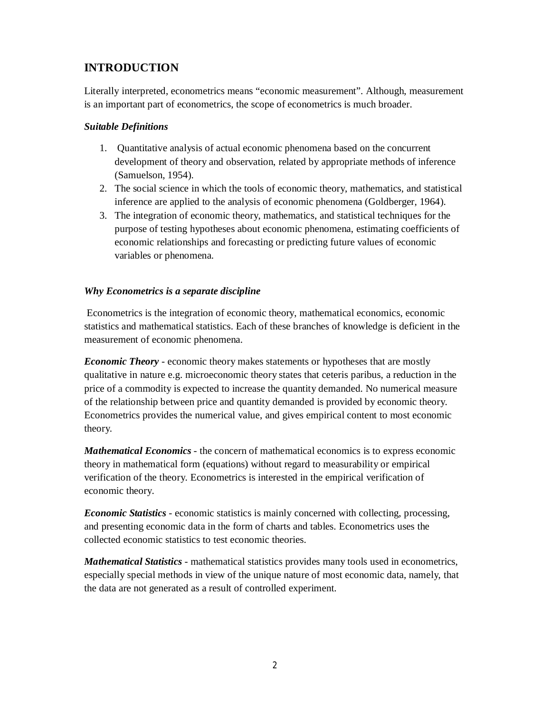## **INTRODUCTION**

Literally interpreted, econometrics means "economic measurement". Although, measurement is an important part of econometrics, the scope of econometrics is much broader.

## *Suitable Definitions*

- 1. Quantitative analysis of actual economic phenomena based on the concurrent development of theory and observation, related by appropriate methods of inference (Samuelson, 1954).
- 2. The social science in which the tools of economic theory, mathematics, and statistical inference are applied to the analysis of economic phenomena (Goldberger, 1964).
- 3. The integration of economic theory, mathematics, and statistical techniques for the purpose of testing hypotheses about economic phenomena, estimating coefficients of economic relationships and forecasting or predicting future values of economic variables or phenomena.

## *Why Econometrics is a separate discipline*

Econometrics is the integration of economic theory, mathematical economics, economic statistics and mathematical statistics. Each of these branches of knowledge is deficient in the measurement of economic phenomena.

*Economic Theory* - economic theory makes statements or hypotheses that are mostly qualitative in nature e.g. microeconomic theory states that ceteris paribus, a reduction in the price of a commodity is expected to increase the quantity demanded. No numerical measure of the relationship between price and quantity demanded is provided by economic theory. Econometrics provides the numerical value, and gives empirical content to most economic theory.

*Mathematical Economics* - the concern of mathematical economics is to express economic theory in mathematical form (equations) without regard to measurability or empirical verification of the theory. Econometrics is interested in the empirical verification of economic theory.

*Economic Statistics* - economic statistics is mainly concerned with collecting, processing, and presenting economic data in the form of charts and tables. Econometrics uses the collected economic statistics to test economic theories.

*Mathematical Statistics* - mathematical statistics provides many tools used in econometrics, especially special methods in view of the unique nature of most economic data, namely, that the data are not generated as a result of controlled experiment.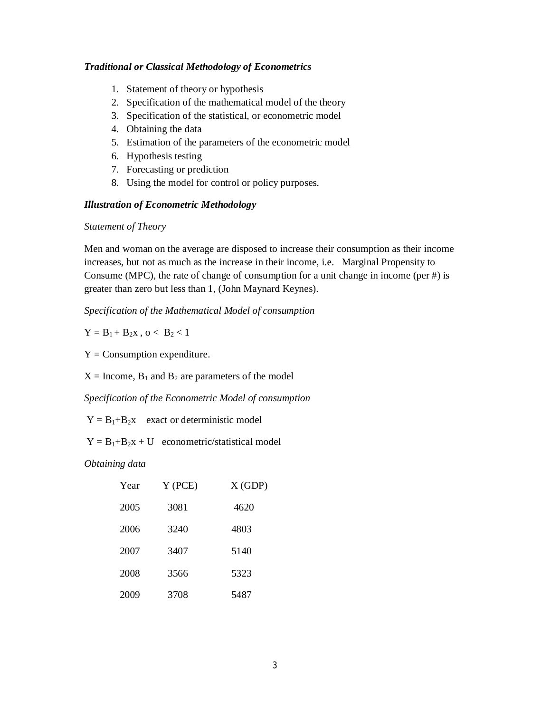#### *Traditional or Classical Methodology of Econometrics*

- 1. Statement of theory or hypothesis
- 2. Specification of the mathematical model of the theory
- 3. Specification of the statistical, or econometric model
- 4. Obtaining the data
- 5. Estimation of the parameters of the econometric model
- 6. Hypothesis testing
- 7. Forecasting or prediction
- 8. Using the model for control or policy purposes.

## *Illustration of Econometric Methodology*

#### *Statement of Theory*

Men and woman on the average are disposed to increase their consumption as their income increases, but not as much as the increase in their income, i.e. Marginal Propensity to Consume (MPC), the rate of change of consumption for a unit change in income (per #) is greater than zero but less than 1, (John Maynard Keynes).

*Specification of the Mathematical Model of consumption*

 $Y = B_1 + B_2x$ ,  $o < B_2 < 1$ 

 $Y =$  Consumption expenditure.

 $X =$  Income,  $B_1$  and  $B_2$  are parameters of the model

*Specification of the Econometric Model of consumption*

 $Y = B_1 + B_2x$  exact or deterministic model

 $Y = B_1 + B_2x + U$  econometric/statistical model

*Obtaining data*

| Year | $Y$ (PCE) | X(GDP) |
|------|-----------|--------|
| 2005 | 3081      | 4620   |
| 2006 | 3240      | 4803   |
| 2007 | 3407      | 5140   |
| 2008 | 3566      | 5323   |
| 2009 | 3708      | 5487   |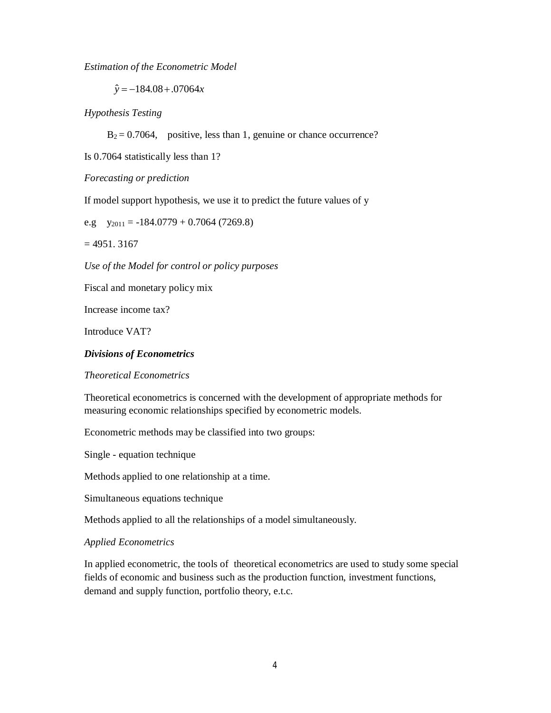*Estimation of the Econometric Model*

 $\hat{y} = -184.08 + 0.07064x$ 

*Hypothesis Testing*

 $B_2 = 0.7064$ , positive, less than 1, genuine or chance occurrence?

Is 0.7064 statistically less than 1?

*Forecasting or prediction*

If model support hypothesis, we use it to predict the future values of y

e.g  $y_{2011} = -184.0779 + 0.7064(7269.8)$ 

 $= 4951.3167$ 

*Use of the Model for control or policy purposes*

Fiscal and monetary policy mix

Increase income tax?

Introduce VAT?

#### *Divisions of Econometrics*

*Theoretical Econometrics*

Theoretical econometrics is concerned with the development of appropriate methods for measuring economic relationships specified by econometric models.

Econometric methods may be classified into two groups:

Single - equation technique

Methods applied to one relationship at a time.

Simultaneous equations technique

Methods applied to all the relationships of a model simultaneously.

#### *Applied Econometrics*

In applied econometric, the tools of theoretical econometrics are used to study some special fields of economic and business such as the production function, investment functions, demand and supply function, portfolio theory, e.t.c.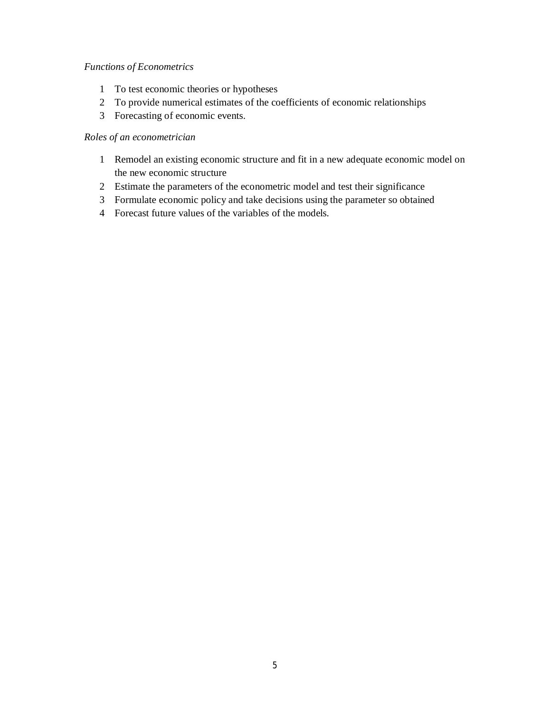## *Functions of Econometrics*

- To test economic theories or hypotheses
- To provide numerical estimates of the coefficients of economic relationships
- Forecasting of economic events.

## *Roles of an econometrician*

- Remodel an existing economic structure and fit in a new adequate economic model on the new economic structure
- Estimate the parameters of the econometric model and test their significance
- Formulate economic policy and take decisions using the parameter so obtained
- Forecast future values of the variables of the models.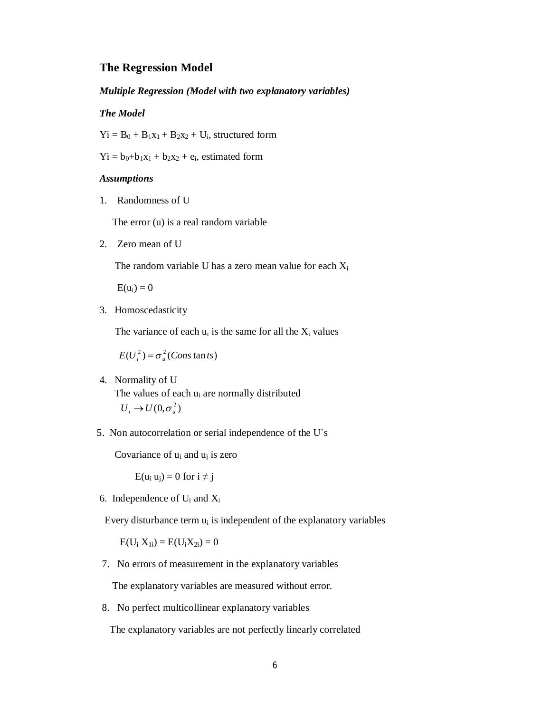#### **The Regression Model**

#### *Multiple Regression (Model with two explanatory variables)*

#### *The Model*

 $Yi = B_0 + B_1x_1 + B_2x_2 + U_i$ , structured form

 $Yi = b_0 + b_1x_1 + b_2x_2 + e_i$ , estimated form

## *Assumptions*

1. Randomness of U

The error (u) is a real random variable

2. Zero mean of U

The random variable U has a zero mean value for each  $X_i$ 

 $E(u_i) = 0$ 

3. Homoscedasticity

The variance of each  $u_i$  is the same for all the  $X_i$  values

$$
E(U_i^2) = \sigma_u^2 \left(Cons \tan ts\right)
$$

4. Normality of U

The values of each  $u_i$  are normally distributed  $U_i \rightarrow U(0, \sigma_u^2)$ 

5. Non autocorrelation or serial independence of the U᾽s

Covariance of  $u_i$  and  $u_j$  is zero

 $E(u_i u_i) = 0$  for  $i \neq j$ 

6. Independence of  $U_i$  and  $X_i$ 

Every disturbance term  $u_i$  is independent of the explanatory variables

 $E(U_i X_{1i}) = E(U_i X_{2i}) = 0$ 

7. No errors of measurement in the explanatory variables

The explanatory variables are measured without error.

8. No perfect multicollinear explanatory variables

The explanatory variables are not perfectly linearly correlated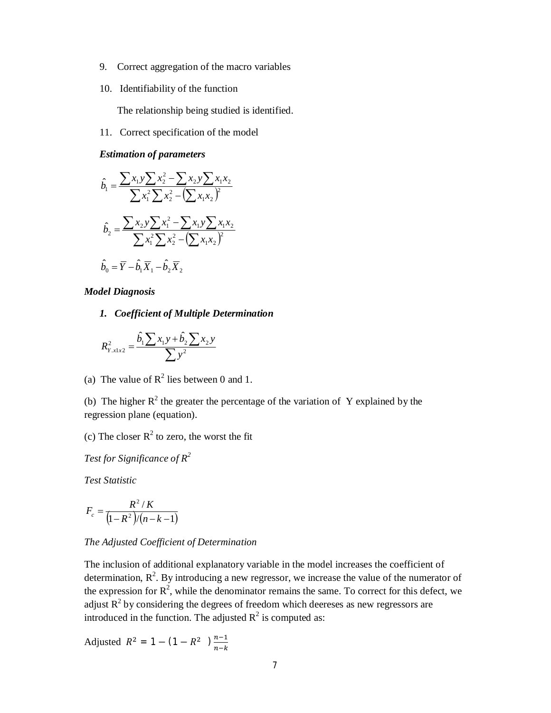- 9. Correct aggregation of the macro variables
- 10. Identifiability of the function

The relationship being studied is identified.

11. Correct specification of the model

*Estimation of parameters*

$$
\hat{b}_1 = \frac{\sum x_1 y \sum x_2^2 - \sum x_2 y \sum x_1 x_2}{\sum x_1^2 \sum x_2^2 - (\sum x_1 x_2)^2}
$$

$$
\hat{b}_2 = \frac{\sum x_2 y \sum x_1^2 - \sum x_1 y \sum x_1 x_2}{\sum x_1^2 \sum x_2^2 - (\sum x_1 x_2)^2}
$$

$$
\hat{b}_0 = \overline{Y} - \hat{b}_1 \overline{X}_1 - \hat{b}_2 \overline{X}_2
$$

*Model Diagnosis*

*1. Coefficient of Multiple Determination*

$$
R_{Y.x1x2}^{2} = \frac{\hat{b}_{1} \sum x_{1} y + \hat{b}_{2} \sum x_{2} y}{\sum y^{2}}
$$

(a) The value of  $R^2$  lies between 0 and 1.

(b) The higher  $R^2$  the greater the percentage of the variation of Y explained by the regression plane (equation).

(c) The closer  $R^2$  to zero, the worst the fit

*Test for Significance of R<sup>2</sup>*

*Test Statistic*

$$
F_c = \frac{R^2/K}{(1 - R^2)/(n - k - 1)}
$$

#### *The Adjusted Coefficient of Determination*

The inclusion of additional explanatory variable in the model increases the coefficient of determination,  $R^2$ . By introducing a new regressor, we increase the value of the numerator of the expression for  $\mathbb{R}^2$ , while the denominator remains the same. To correct for this defect, we adjust  $R^2$  by considering the degrees of freedom which deereses as new regressors are introduced in the function. The adjusted  $R^2$  is computed as:

Adjusted  $R^2 = 1 - (1 - R^2) \frac{n-1}{n}$  $n-k$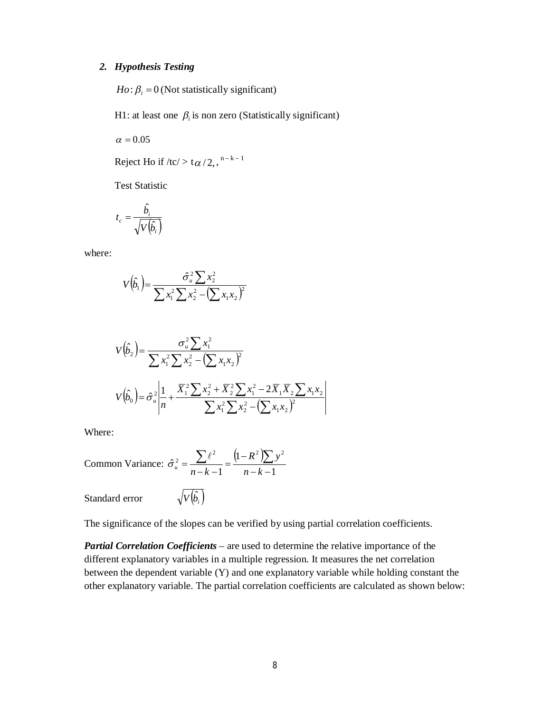#### *2. Hypothesis Testing*

 $Ho: \beta_i = 0$  (Not statistically significant)

H1: at least one  $\beta_i$  is non zero (Statistically significant)

 $\alpha = 0.05$ 

Reject Ho if /tc/ > t $\alpha/2$ ,  $^{n-k-1}$ 

Test Statistic

$$
t_c = \frac{\hat{b_i}}{\sqrt{V(\hat{b_i})}}
$$

where:

$$
V(\hat{b}_1) = \frac{\hat{\sigma}_u^2 \sum x_2^2}{\sum x_1^2 \sum x_2^2 - (\sum x_1 x_2)^2}
$$

$$
V(\hat{b}_2) = \frac{\sigma_u^2 \sum x_1^2}{\sum x_1^2 \sum x_2^2 - (\sum x_1 x_2)^2}
$$
  

$$
V(\hat{b}_0) = \hat{\sigma}_u^2 \left| \frac{1}{n} + \frac{\overline{X}_1^2 \sum x_2^2 + \overline{X}_2^2 \sum x_1^2 - 2\overline{X}_1 \overline{X}_2 \sum x_1 x_2}{\sum x_1^2 \sum x_2^2 - (\sum x_1 x_2)^2} \right|
$$

Where:

Common Variance: 
$$
\hat{\sigma}_u^2 = \frac{\sum \ell^2}{n - k - 1} = \frac{(1 - R^2)\sum y^2}{n - k - 1}
$$

Standard error

$$
\sqrt{V\big(\hat{b}_i\big)}
$$

The significance of the slopes can be verified by using partial correlation coefficients.

*Partial Correlation Coefficients* – are used to determine the relative importance of the different explanatory variables in a multiple regression. It measures the net correlation between the dependent variable (Y) and one explanatory variable while holding constant the other explanatory variable. The partial correlation coefficients are calculated as shown below: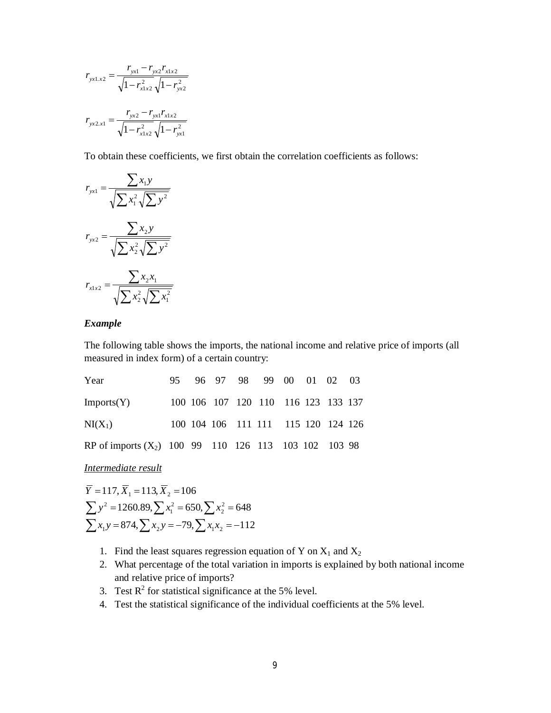$$
r_{\text{yx1.x2}} = \frac{r_{\text{yx1}} - r_{\text{yx2}}r_{\text{x1x2}}}{\sqrt{1 - r_{\text{x1x2}}^2} \sqrt{1 - r_{\text{yx2}}^2}}
$$

$$
r_{\text{yx2.x1}} = \frac{r_{\text{yx2}} - r_{\text{yx1}}r_{\text{x1x2}}}{\sqrt{1 - r_{\text{x1x2}}^2} \sqrt{1 - r_{\text{yx1}}^2}}
$$

To obtain these coefficients, we first obtain the correlation coefficients as follows:

$$
r_{\text{yxl}} = \frac{\sum x_i y}{\sqrt{\sum x_i^2 \sqrt{\sum y^2}}}
$$

$$
r_{\text{yx2}} = \frac{\sum x_i y}{\sqrt{\sum x_i^2 \sqrt{\sum y^2}}}
$$

$$
r_{\text{xlx2}} = \frac{\sum x_i x_i}{\sqrt{\sum x_i^2 \sqrt{\sum x_i^2}}}
$$

#### *Example*

The following table shows the imports, the national income and relative price of imports (all measured in index form) of a certain country:

| Year                                                    |  |  | 95 96 97 98 99 00 01 02 03          |  |  |
|---------------------------------------------------------|--|--|-------------------------------------|--|--|
| Imports(Y)                                              |  |  | 100 106 107 120 110 116 123 133 137 |  |  |
| $NI(X_1)$                                               |  |  | 100 104 106 111 111 115 120 124 126 |  |  |
| RP of imports $(X_2)$ 100 99 110 126 113 103 102 103 98 |  |  |                                     |  |  |

*Intermediate result* 

 $\sum x_1 y = 874, \sum x_2 y = -79, \sum x_1 x_2 = -112$  $\sum y^2 = 1260.89, \sum x_1^2 = 650, \sum x_2^2 = 648$  $Y = 117, X_1 = 113, X_2 = 106$ 

- 1. Find the least squares regression equation of Y on  $X_1$  and  $X_2$
- 2. What percentage of the total variation in imports is explained by both national income and relative price of imports?
- 3. Test  $\mathbb{R}^2$  for statistical significance at the 5% level.
- 4. Test the statistical significance of the individual coefficients at the 5% level.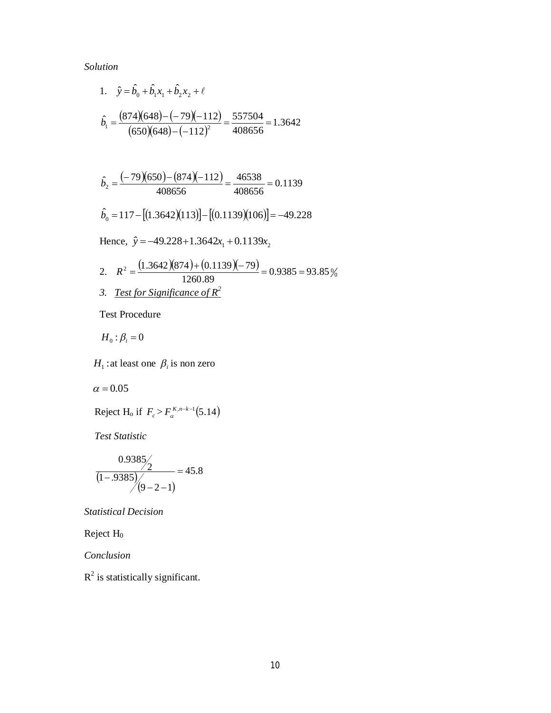## *Solution*

1. 
$$
\hat{y} = \hat{b}_0 + \hat{b}_1 x_1 + \hat{b}_2 x_2 + \ell
$$
  
\n $\hat{b}_1 = \frac{(874)(648) - (-79)(-112)}{(650)(648) - (-112)^2} = \frac{557504}{408656} = 1.3642$ 

$$
\hat{b}_2 = \frac{(-79)(650) - (874)(-112)}{408656} = \frac{46538}{408656} = 0.1139
$$

$$
\hat{b}_0 = 117 - [(1.3642)(113)] - [(0.1139)(106)] = -49.228
$$

Hence,  $\hat{y} = -49.228 + 1.3642x_1 + 0.1139x_2$ 

2. 
$$
R^2 = \frac{(1.3642)(874) + (0.1139)(-79)}{1260.89} = 0.9385 = 93.85\%
$$
  
3. Test for Significance of R<sup>2</sup>

Test Procedure

 $H_0$ :  $\beta_i$  = 0

 $H_1$ : at least one  $\beta_i$  is non zero

 $\alpha = 0.05$ 

$$
Reject Ho if Fc > F\alphaK,n-k-1(5.14)
$$

*Test Statistic*

$$
\frac{0.9385/2}{(1-.9385)/(9-2-1)} = 45.8
$$

*Statistical Decision*

Reject H<sup>0</sup>

*Conclusion*

 $R<sup>2</sup>$  is statistically significant.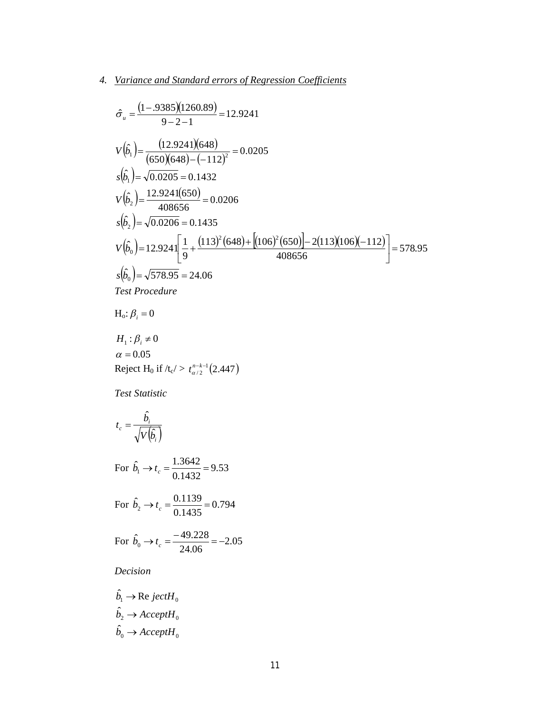## *4. Variance and Standard errors of Regression Coefficients*

$$
\hat{\sigma}_u = \frac{(1-.9385)(1260.89)}{9-2-1} = 12.9241
$$
\n
$$
V(\hat{b}_1) = \frac{(12.9241)(648)}{(650)(648) - (-112)^2} = 0.0205
$$
\n
$$
s(\hat{b}_1) = \sqrt{0.0205} = 0.1432
$$
\n
$$
V(\hat{b}_2) = \frac{12.9241(650)}{408656} = 0.0206
$$
\n
$$
s(\hat{b}_2) = \sqrt{0.0206} = 0.1435
$$
\n
$$
V(\hat{b}_0) = 12.924 \left[ \frac{1}{9} + \frac{(113)^2 (648) + [(106)^2 (650)] - 2(113)(106)(-112)}{408656} \right] = 578.95
$$
\n
$$
s(\hat{b}_0) = \sqrt{578.95} = 24.06
$$
\nTest Procedure

$$
H_o: \beta_i = 0
$$

$$
H_1: \beta_i \neq 0
$$
  
\n $\alpha = 0.05$   
\nReject H<sub>0</sub> if  $/t_c > t_{\alpha/2}^{n-k-1}(2.447)$ 

*Test Statistic*

$$
t_c = \frac{\hat{b_i}}{\sqrt{V(\hat{b_i})}}
$$

For 
$$
\hat{b}_1 \rightarrow t_c = \frac{1.3642}{0.1432} = 9.53
$$

For 
$$
\hat{b}_2 \rightarrow t_c = \frac{0.1139}{0.1435} = 0.794
$$

For 
$$
\hat{b}_0 \rightarrow t_c = \frac{-49.228}{24.06} = -2.05
$$

*Decision*

$$
\hat{b}_1 \rightarrow \text{Re }jectH_0
$$
  

$$
\hat{b}_2 \rightarrow AcceptH_0
$$
  

$$
\hat{b}_0 \rightarrow AcceptH_0
$$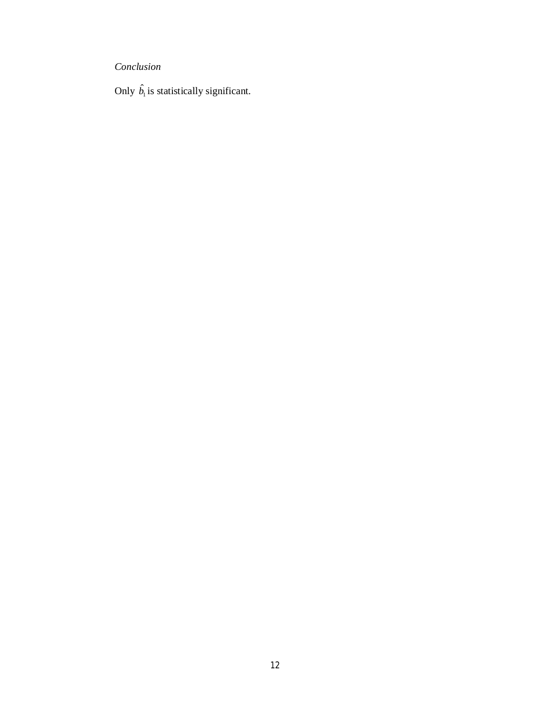*Conclusion*

Only  $\hat{b}_1$  is statistically significant.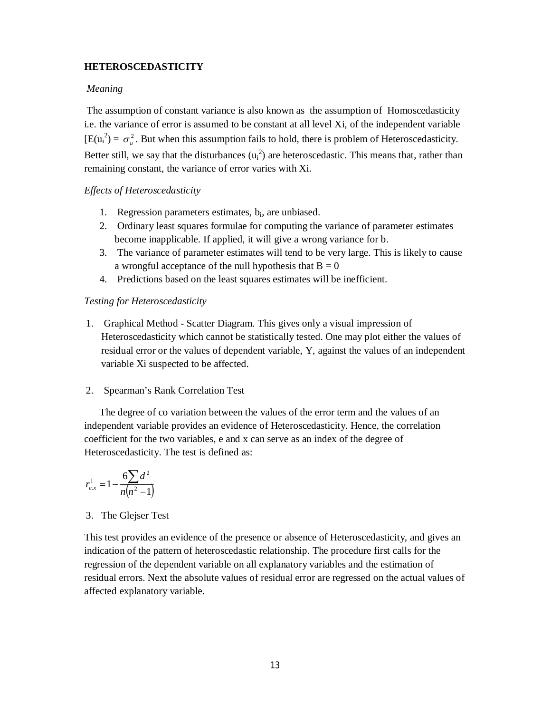## **HETEROSCEDASTICITY**

## *Meaning*

The assumption of constant variance is also known as the assumption of Homoscedasticity i.e. the variance of error is assumed to be constant at all level Xi, of the independent variable  $[E(u_i^2) = \sigma_u^2]$ . But when this assumption fails to hold, there is problem of Heteroscedasticity. Better still, we say that the disturbances  $(u_i^2)$  are heteroscedastic. This means that, rather than remaining constant, the variance of error varies with Xi.

## *Effects of Heteroscedasticity*

- 1. Regression parameters estimates, b<sub>i</sub>, are unbiased.
- 2. Ordinary least squares formulae for computing the variance of parameter estimates become inapplicable. If applied, it will give a wrong variance for b.
- 3. The variance of parameter estimates will tend to be very large. This is likely to cause a wrongful acceptance of the null hypothesis that  $B = 0$
- 4. Predictions based on the least squares estimates will be inefficient.

#### *Testing for Heteroscedasticity*

- 1. Graphical Method Scatter Diagram. This gives only a visual impression of Heteroscedasticity which cannot be statistically tested. One may plot either the values of residual error or the values of dependent variable, Y, against the values of an independent variable Xi suspected to be affected.
- 2. Spearman's Rank Correlation Test

 The degree of co variation between the values of the error term and the values of an independent variable provides an evidence of Heteroscedasticity. Hence, the correlation coefficient for the two variables, e and x can serve as an index of the degree of Heteroscedasticity. The test is defined as:

$$
r_{e.x}^{1} = 1 - \frac{6\sum d^{2}}{n(n^{2} - 1)}
$$

## 3. The Glejser Test

This test provides an evidence of the presence or absence of Heteroscedasticity, and gives an indication of the pattern of heteroscedastic relationship. The procedure first calls for the regression of the dependent variable on all explanatory variables and the estimation of residual errors. Next the absolute values of residual error are regressed on the actual values of affected explanatory variable.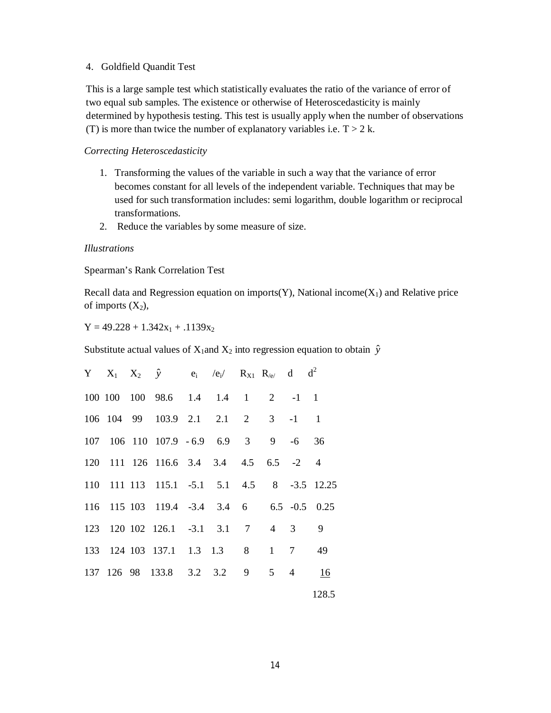#### 4. Goldfield Quandit Test

This is a large sample test which statistically evaluates the ratio of the variance of error of two equal sub samples. The existence or otherwise of Heteroscedasticity is mainly determined by hypothesis testing. This test is usually apply when the number of observations (T) is more than twice the number of explanatory variables i.e.  $T > 2$  k.

#### *Correcting Heteroscedasticity*

- 1. Transforming the values of the variable in such a way that the variance of error becomes constant for all levels of the independent variable. Techniques that may be used for such transformation includes: semi logarithm, double logarithm or reciprocal transformations.
- 2. Reduce the variables by some measure of size.

#### *Illustrations*

Spearman's Rank Correlation Test

Recall data and Regression equation on imports(Y), National income $(X_1)$  and Relative price of imports  $(X_2)$ ,

 $Y = 49.228 + 1.342x_1 + .1139x_2$ 

Substitute actual values of  $X_1$ and  $X_2$  into regression equation to obtain  $\hat{y}$ 

|  | Y $X_1$ $X_2$ $\hat{y}$ $e_i$ $/e_i$ $R_{X1}$ $R_{e}$ d $d^2$ |  |  |       |
|--|---------------------------------------------------------------|--|--|-------|
|  | 100 100 100 98.6 1.4 1.4 1 2 -1 1                             |  |  |       |
|  | 106 104 99 103.9 2.1 2.1 2 3 -1 1                             |  |  |       |
|  | 107 106 110 107.9 -6.9 6.9 3 9 -6 36                          |  |  |       |
|  | 120 111 126 116.6 3.4 3.4 4.5 6.5 -2 4                        |  |  |       |
|  | 110 111 113 115.1 -5.1 5.1 4.5 8 -3.5 12.25                   |  |  |       |
|  | 116 115 103 119.4 -3.4 3.4 6 6.5 -0.5 0.25                    |  |  |       |
|  | 123 120 102 126.1 -3.1 3.1 7 4 3                              |  |  | 9     |
|  | 133 124 103 137.1 1.3 1.3 8 1 7                               |  |  | 49    |
|  | 137 126 98 133.8 3.2 3.2 9 5 4                                |  |  | 16    |
|  |                                                               |  |  | 128.5 |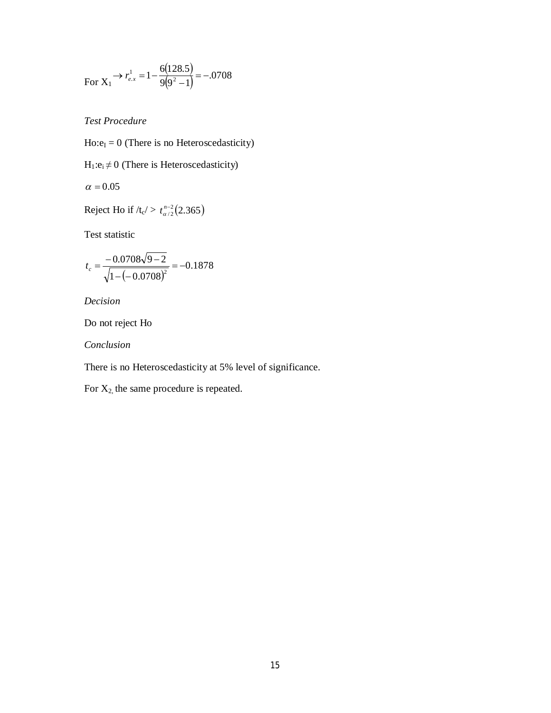For 
$$
X_1 \rightarrow r_{e.x}^1 = 1 - \frac{6(128.5)}{9(9^2 - 1)} = -.0708
$$

*Test Procedure*

 $Ho: e_I = 0$  (There is no Heteroscedasticity)

 $H_1: e_i \neq 0$  (There is Heteroscedasticity)

$$
\alpha=0.05
$$

Reject Ho if  $/t_c$  /  $t_{\alpha/2}^{n-2}$  (2.365)

Test statistic

$$
t_c = \frac{-0.0708\sqrt{9-2}}{\sqrt{1-(-0.0708)^2}} = -0.1878
$$

*Decision*

Do not reject Ho

*Conclusion*

There is no Heteroscedasticity at 5% level of significance.

For  $X_2$ , the same procedure is repeated.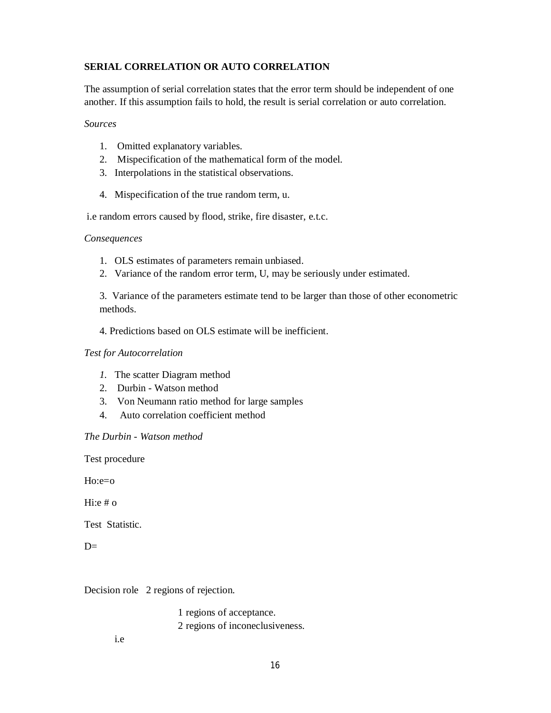## **SERIAL CORRELATION OR AUTO CORRELATION**

The assumption of serial correlation states that the error term should be independent of one another. If this assumption fails to hold, the result is serial correlation or auto correlation.

#### *Sources*

- 1. Omitted explanatory variables.
- 2. Mispecification of the mathematical form of the model.
- 3. Interpolations in the statistical observations.
- 4. Mispecification of the true random term, u.

i.e random errors caused by flood, strike, fire disaster, e.t.c.

#### *Consequences*

- 1. OLS estimates of parameters remain unbiased.
- 2. Variance of the random error term, U, may be seriously under estimated.

3. Variance of the parameters estimate tend to be larger than those of other econometric methods.

4. Predictions based on OLS estimate will be inefficient.

#### *Test for Autocorrelation*

- *1.* The scatter Diagram method
- 2. Durbin Watson method
- 3. Von Neumann ratio method for large samples
- 4. Auto correlation coefficient method

## *The Durbin - Watson method*

Test procedure

Ho:e=o

Hi:e  $# o$ 

Test Statistic.

 $D=$ 

Decision role 2 regions of rejection.

 1 regions of acceptance. 2 regions of inconeclusiveness.

i.e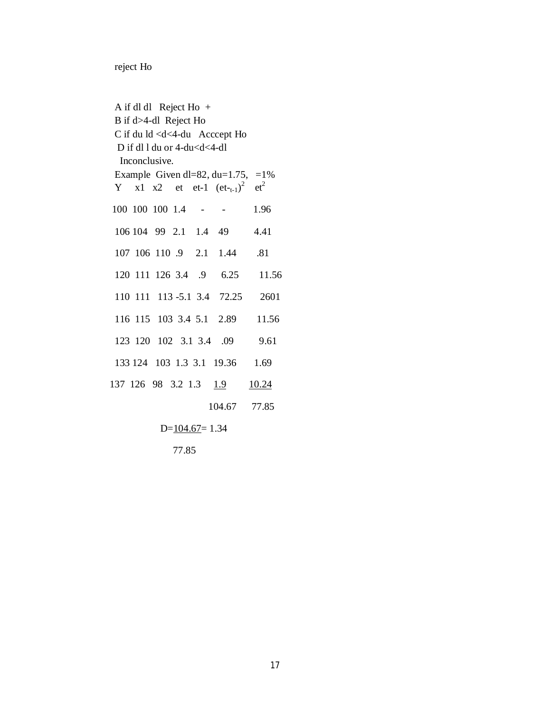reject Ho

A if dl dl Reject Ho + B if d>4-dl Reject Ho C if du ld <d<4-du Acccept Ho D if dl l du or 4-du<d<4-dl Inconclusive. Example Given dl=82, du=1.75, =1% Y x1 x2 et et-1  $(e_{t-t-1})^2$  et<sup>2</sup> 100 100 100 1.4 - - 1.96 106 104 99 2.1 1.4 49 4.41 107 106 110 .9 2.1 1.44 .81 120 111 126 3.4 .9 6.25 11.56 110 111 113 -5.1 3.4 72.25 2601 116 115 103 3.4 5.1 2.89 11.56 123 120 102 3.1 3.4 .09 9.61 133 124 103 1.3 3.1 19.36 1.69 137 126 98 3.2 1.3 1.9 10.24 104.67 77.85  $D=104.67=1.34$ 77.85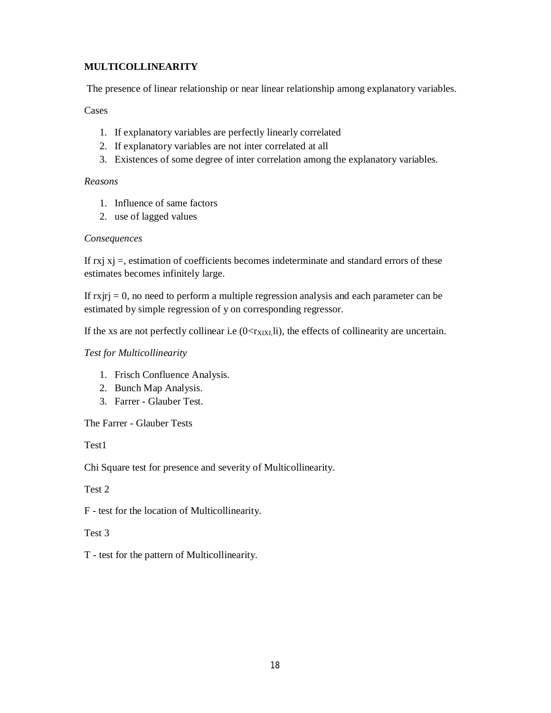## **MULTICOLLINEARITY**

The presence of linear relationship or near linear relationship among explanatory variables.

## Cases

- 1. If explanatory variables are perfectly linearly correlated
- 2. If explanatory variables are not inter correlated at all
- 3. Existences of some degree of inter correlation among the explanatory variables.

## *Reasons*

- 1. Influence of same factors
- 2. use of lagged values

## *Consequences*

If  $rxi xj =$ , estimation of coefficients becomes indeterminate and standard errors of these estimates becomes infinitely large.

If  $r$ x $j$ r $j = 0$ , no need to perform a multiple regression analysis and each parameter can be estimated by simple regression of y on corresponding regressor.

If the xs are not perfectly collinear i.e  $(0 < r<sub>XIXI</sub>,\text{li})$ , the effects of collinearity are uncertain.

## *Test for Multicollinearity*

- 1. Frisch Confluence Analysis.
- 2. Bunch Map Analysis.
- 3. Farrer Glauber Test.

The Farrer - Glauber Tests

Test1

Chi Square test for presence and severity of Multicollinearity.

Test 2

F - test for the location of Multicollinearity.

## Test 3

T - test for the pattern of Multicollinearity.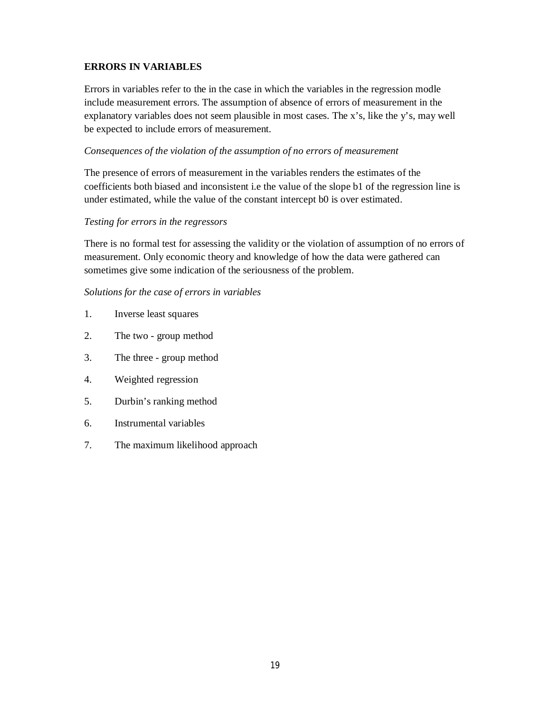## **ERRORS IN VARIABLES**

Errors in variables refer to the in the case in which the variables in the regression modle include measurement errors. The assumption of absence of errors of measurement in the explanatory variables does not seem plausible in most cases. The x's, like the y's, may well be expected to include errors of measurement.

## *Consequences of the violation of the assumption of no errors of measurement*

The presence of errors of measurement in the variables renders the estimates of the coefficients both biased and inconsistent i.e the value of the slope b1 of the regression line is under estimated, while the value of the constant intercept b0 is over estimated.

## *Testing for errors in the regressors*

There is no formal test for assessing the validity or the violation of assumption of no errors of measurement. Only economic theory and knowledge of how the data were gathered can sometimes give some indication of the seriousness of the problem.

## *Solutions for the case of errors in variables*

- 1. Inverse least squares
- 2. The two group method
- 3. The three group method
- 4. Weighted regression
- 5. Durbin's ranking method
- 6. Instrumental variables
- 7. The maximum likelihood approach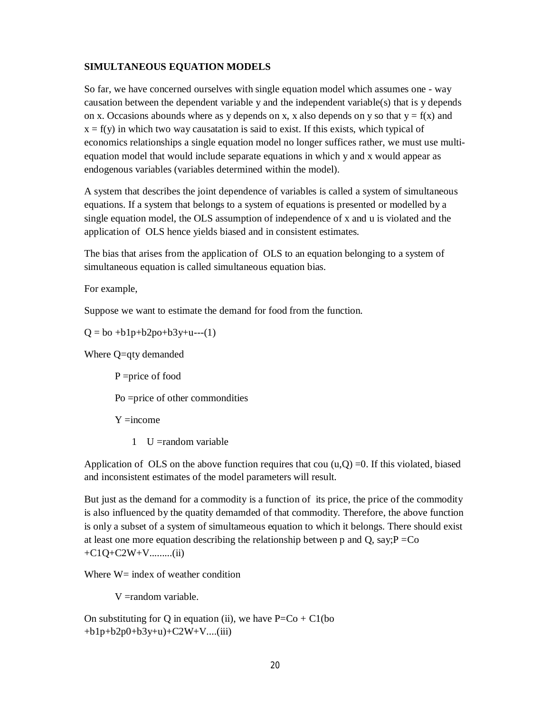## **SIMULTANEOUS EQUATION MODELS**

So far, we have concerned ourselves with single equation model which assumes one - way causation between the dependent variable y and the independent variable(s) that is y depends on x. Occasions abounds where as y depends on x, x also depends on y so that  $y = f(x)$  and  $x = f(y)$  in which two way causatation is said to exist. If this exists, which typical of economics relationships a single equation model no longer suffices rather, we must use multiequation model that would include separate equations in which y and x would appear as endogenous variables (variables determined within the model).

A system that describes the joint dependence of variables is called a system of simultaneous equations. If a system that belongs to a system of equations is presented or modelled by a single equation model, the OLS assumption of independence of x and u is violated and the application of OLS hence yields biased and in consistent estimates.

The bias that arises from the application of OLS to an equation belonging to a system of simultaneous equation is called simultaneous equation bias.

For example,

Suppose we want to estimate the demand for food from the function.

 $Q = bo + b1p + b2po + b3y + u---(1)$ 

Where Q=qty demanded

P =price of food Po =price of other commondities  $Y = income$ 

1 U =random variable

Application of OLS on the above function requires that cou  $(u,Q) = 0$ . If this violated, biased and inconsistent estimates of the model parameters will result.

But just as the demand for a commodity is a function of its price, the price of the commodity is also influenced by the quatity demamded of that commodity. Therefore, the above function is only a subset of a system of simultameous equation to which it belongs. There should exist at least one more equation describing the relationship between p and Q, say; $P = Co$  $+C1Q+C2W+V$ ..........(ii)

Where  $W = \text{index of weather condition}$ 

V =random variable.

On substituting for Q in equation (ii), we have  $P=Co + C1(bo)$ +b1p+b2p0+b3y+u)+C2W+V....(iii)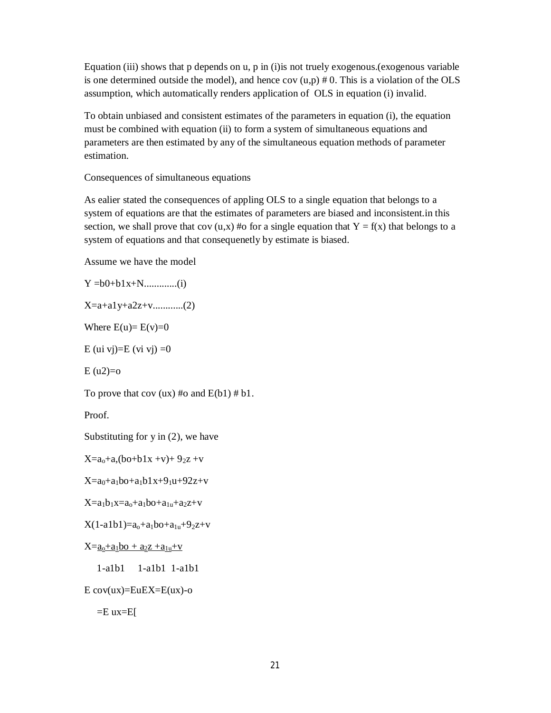Equation (iii) shows that p depends on u, p in (i)is not truely exogenous.(exogenous variable is one determined outside the model), and hence cov  $(u, p) \# 0$ . This is a violation of the OLS assumption, which automatically renders application of OLS in equation (i) invalid.

To obtain unbiased and consistent estimates of the parameters in equation (i), the equation must be combined with equation (ii) to form a system of simultaneous equations and parameters are then estimated by any of the simultaneous equation methods of parameter estimation.

Consequences of simultaneous equations

As ealier stated the consequences of appling OLS to a single equation that belongs to a system of equations are that the estimates of parameters are biased and inconsistent.in this section, we shall prove that cov  $(u,x)$  #o for a single equation that  $Y = f(x)$  that belongs to a system of equations and that consequenetly by estimate is biased.

Assume we have the model

Y =b0+b1x+N.............(i)

X=a+a1y+a2z+v............(2)

Where  $E(u)=E(v)=0$ 

E (ui vj)=E (vi vj) =0

 $E (u2)=0$ 

To prove that cov (ux) #o and  $E(b1)$  # b1.

Proof.

Substituting for  $y$  in  $(2)$ , we have

 $X=a_0+a_0$ ,  $(b_0+b1x +y)+9_2z +y$ 

 $X=a_0+a_1b_0+a_1b_1x+9_1u+92z+v$ 

 $X=a_1b_1x=a_0+a_1b_0+a_{1u}+a_2z+v$ 

 $X(1-a1b1)=a_0+a_1b0+a_{1u}+9_2z+v$ 

 $X=a_0+a_1b_0 + a_2z + a_1u+v$ 

1-a1b1 1-a1b1 1-a1b1

```
E \, cov(ux) = EuEX = E(ux) - o
```
 $=E$  ux= $E$ [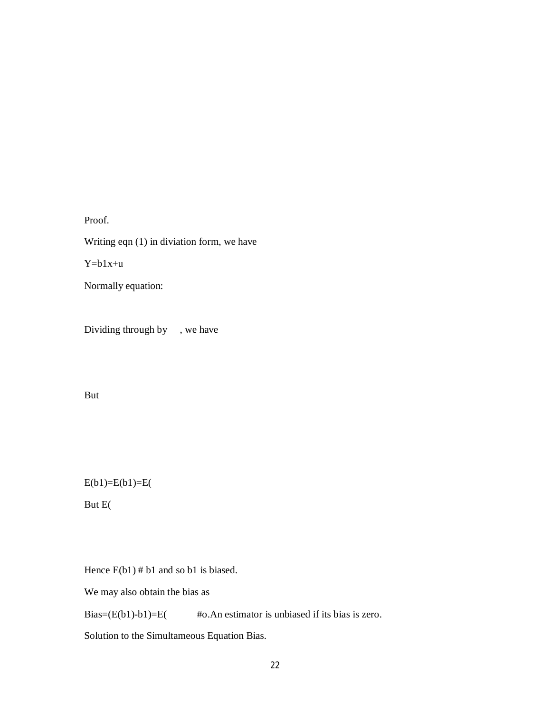Proof. Writing eqn (1) in diviation form, we have  $Y=b1x+u$ Normally equation:

Dividing through by , we have

But

 $E(b1)=E(b1)=E($ 

But E(

Hence  $E(b1)$  # b1 and so b1 is biased.

We may also obtain the bias as

Bias= $(E(b1)-b1)=E$  #o.An estimator is unbiased if its bias is zero.

Solution to the Simultameous Equation Bias.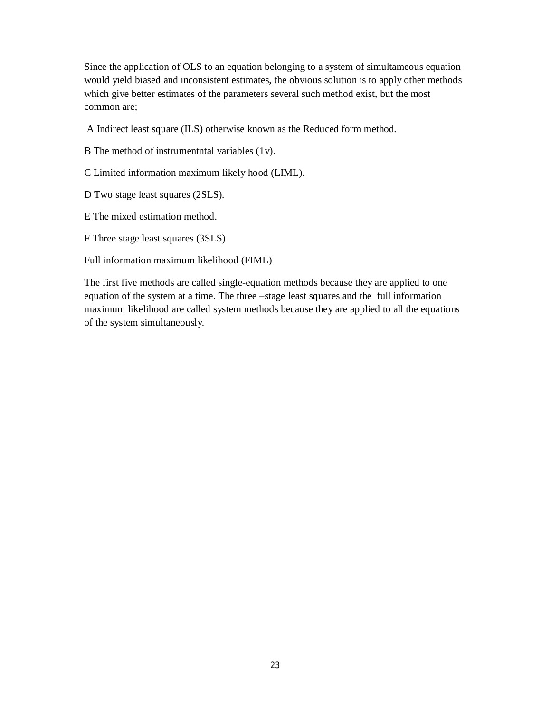Since the application of OLS to an equation belonging to a system of simultameous equation would yield biased and inconsistent estimates, the obvious solution is to apply other methods which give better estimates of the parameters several such method exist, but the most common are;

A Indirect least square (ILS) otherwise known as the Reduced form method.

B The method of instrumentntal variables (1v).

C Limited information maximum likely hood (LIML).

D Two stage least squares (2SLS).

E The mixed estimation method.

F Three stage least squares (3SLS)

Full information maximum likelihood (FIML)

The first five methods are called single-equation methods because they are applied to one equation of the system at a time. The three –stage least squares and the full information maximum likelihood are called system methods because they are applied to all the equations of the system simultaneously.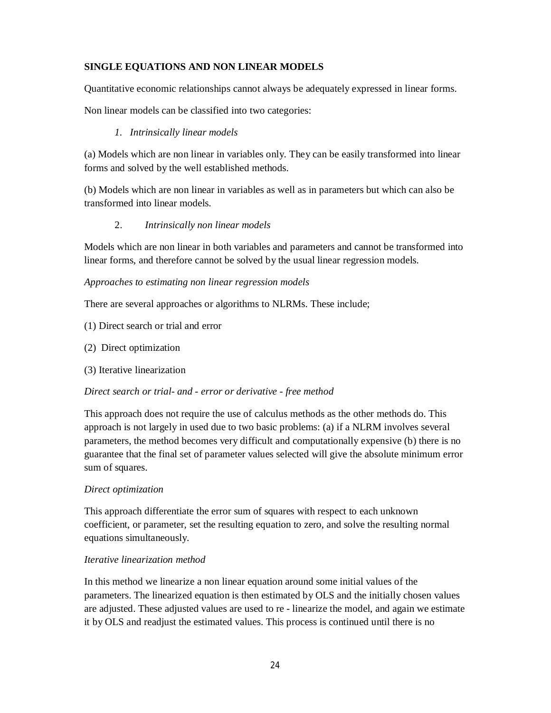## **SINGLE EQUATIONS AND NON LINEAR MODELS**

Quantitative economic relationships cannot always be adequately expressed in linear forms.

Non linear models can be classified into two categories:

## *1. Intrinsically linear models*

(a) Models which are non linear in variables only. They can be easily transformed into linear forms and solved by the well established methods.

(b) Models which are non linear in variables as well as in parameters but which can also be transformed into linear models.

## 2. *Intrinsically non linear models*

Models which are non linear in both variables and parameters and cannot be transformed into linear forms, and therefore cannot be solved by the usual linear regression models.

## *Approaches to estimating non linear regression models*

There are several approaches or algorithms to NLRMs. These include;

- (1) Direct search or trial and error
- (2) Direct optimization
- (3) Iterative linearization

## *Direct search or trial- and - error or derivative - free method*

This approach does not require the use of calculus methods as the other methods do. This approach is not largely in used due to two basic problems: (a) if a NLRM involves several parameters, the method becomes very difficult and computationally expensive (b) there is no guarantee that the final set of parameter values selected will give the absolute minimum error sum of squares.

## *Direct optimization*

This approach differentiate the error sum of squares with respect to each unknown coefficient, or parameter, set the resulting equation to zero, and solve the resulting normal equations simultaneously.

## *Iterative linearization method*

In this method we linearize a non linear equation around some initial values of the parameters. The linearized equation is then estimated by OLS and the initially chosen values are adjusted. These adjusted values are used to re - linearize the model, and again we estimate it by OLS and readjust the estimated values. This process is continued until there is no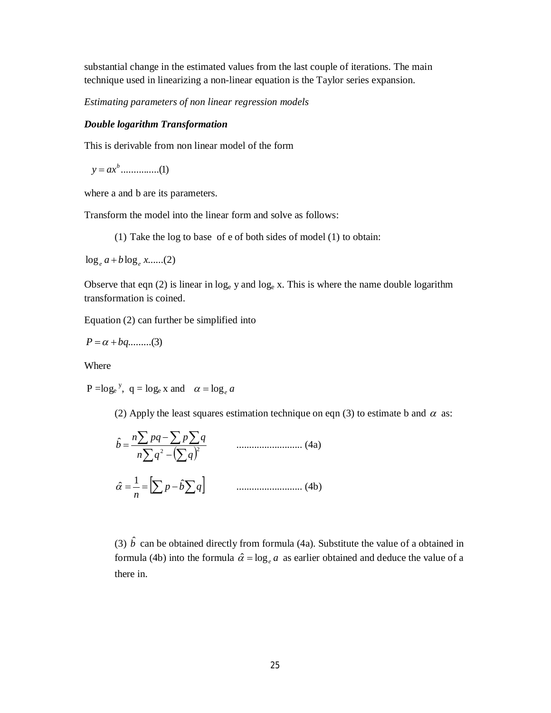substantial change in the estimated values from the last couple of iterations. The main technique used in linearizing a non-linear equation is the Taylor series expansion.

*Estimating parameters of non linear regression models*

#### *Double logarithm Transformation*

This is derivable from non linear model of the form

...............(1) *b y ax*

where a and b are its parameters.

Transform the model into the linear form and solve as follows:

(1) Take the log to base of e of both sides of model (1) to obtain:

 $\log_e a + b \log_e x$ ......(2)

Observe that eqn (2) is linear in  $log_e y$  and  $log_e x$ . This is where the name double logarithm transformation is coined.

Equation (2) can further be simplified into

 $P = \alpha + bq$ .........(3)

Where

 $P = \log_e y$ ,  $q = \log_e x$  and  $\alpha = \log_e a$ 

(2) Apply the least squares estimation technique on eqn (3) to estimate b and  $\alpha$  as:

$$
\hat{b} = \frac{n \sum pq - \sum p \sum q}{n \sum q^2 - (\sum q)^2}
$$
 ....... (4a)  

$$
\hat{\alpha} = \frac{1}{n} = \left[ \sum p - \hat{b} \sum q \right]
$$
 ....... (4b)

(3)  $\hat{b}$  can be obtained directly from formula (4a). Substitute the value of a obtained in formula (4b) into the formula  $\hat{\alpha} = \log_e a$  as earlier obtained and deduce the value of a there in.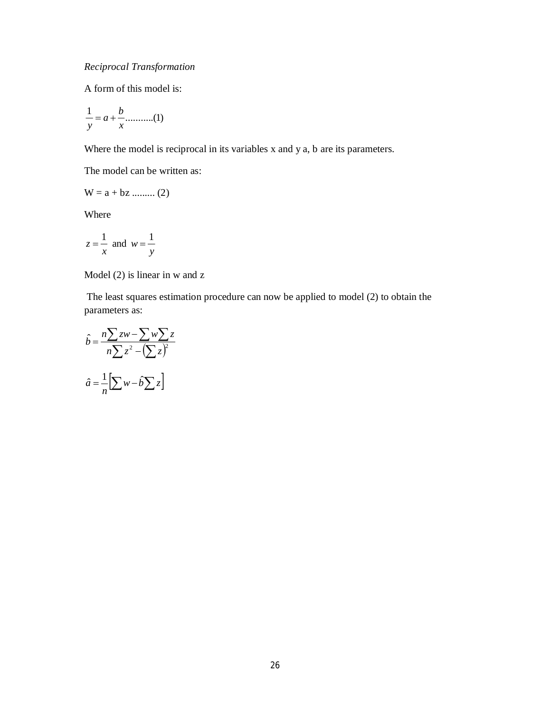A form of this model is:

$$
\frac{1}{y} = a + \frac{b}{x} \dots \dots \dots \dots (1)
$$

Where the model is reciprocal in its variables x and y a, b are its parameters.

The model can be written as:

$$
W = a + bz \dots \dots \dots \dots (2)
$$

Where

$$
z = \frac{1}{x} \text{ and } w = \frac{1}{y}
$$

Model (2) is linear in w and z

The least squares estimation procedure can now be applied to model (2) to obtain the parameters as:

$$
\hat{b} = \frac{n\sum zw - \sum w\sum z}{n\sum z^2 - (\sum z)^2}
$$

$$
\hat{a} = \frac{1}{n} \left[ \sum w - \hat{b} \sum z \right]
$$